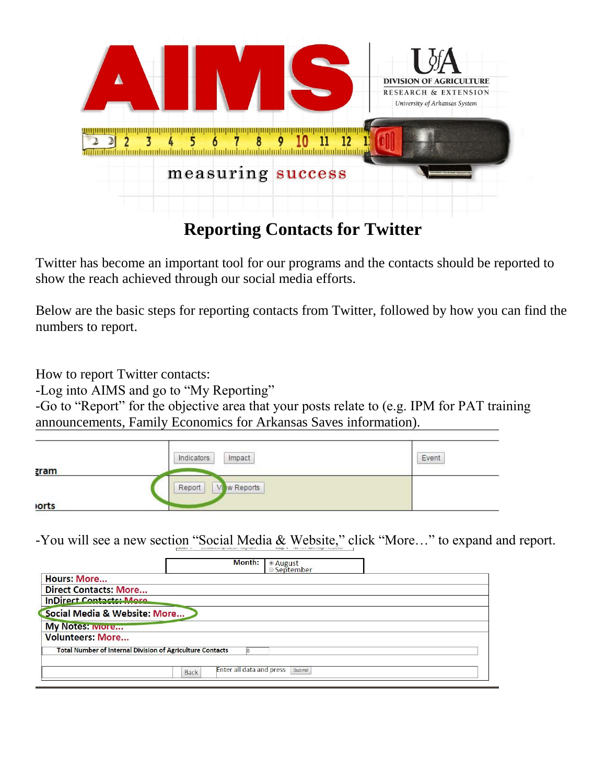

Twitter has become an important tool for our programs and the contacts should be reported to show the reach achieved through our social media efforts.

Below are the basic steps for reporting contacts from Twitter, followed by how you can find the numbers to report.

How to report Twitter contacts:

-Log into AIMS and go to "My Reporting"

-Go to "Report" for the objective area that your posts relate to (e.g. IPM for PAT training announcements, Family Economics for Arkansas Saves information).

|             | Impact<br>Indicators | Event |
|-------------|----------------------|-------|
| <b>zram</b> |                      |       |
|             | w Reports<br>Report  |       |
| <b>orts</b> |                      |       |

-You will see a new section "Social Media & Website," click "More…" to expand and report.

| Month:                                                           | ● August<br>◎ September |
|------------------------------------------------------------------|-------------------------|
| <b>Hours: More</b>                                               |                         |
| <b>Direct Contacts: More</b>                                     |                         |
| <b>InDirect Contacts: More</b>                                   |                         |
| Social Media & Website: More                                     |                         |
| <b>My Notes: Iviore</b>                                          |                         |
| <b>Volunteers: More</b>                                          |                         |
| <b>Total Number of Internal Division of Agriculture Contacts</b> |                         |
| <b>Enter all data and press</b><br><b>Back</b>                   | Submit                  |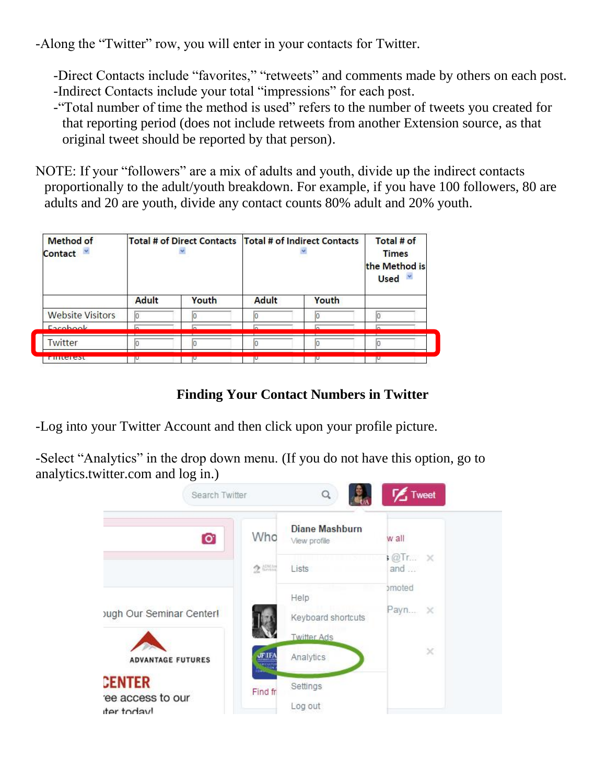-Along the "Twitter" row, you will enter in your contacts for Twitter.

-Direct Contacts include "favorites," "retweets" and comments made by others on each post. -Indirect Contacts include your total "impressions" for each post.

-"Total number of time the method is used" refers to the number of tweets you created for that reporting period (does not include retweets from another Extension source, as that original tweet should be reported by that person).

NOTE: If your "followers" are a mix of adults and youth, divide up the indirect contacts proportionally to the adult/youth breakdown. For example, if you have 100 followers, 80 are adults and 20 are youth, divide any contact counts 80% adult and 20% youth.

| <b>Method of</b><br>Contact |              |       |       | Total # of Direct Contacts   Total # of Indirect Contacts | Total # of<br><b>Times</b><br>the Method is<br><b>Used</b> |
|-----------------------------|--------------|-------|-------|-----------------------------------------------------------|------------------------------------------------------------|
|                             | <b>Adult</b> | Youth | Adult | Youth                                                     |                                                            |
| <b>Website Visitors</b>     | lo           |       |       |                                                           |                                                            |
| Eacobook                    |              |       |       |                                                           |                                                            |
| Twitter                     |              |       |       |                                                           |                                                            |
| <u>Filiterest</u>           |              |       |       |                                                           |                                                            |

## **Finding Your Contact Numbers in Twitter**

-Log into your Twitter Account and then click upon your profile picture.

-Select "Analytics" in the drop down menu. (If you do not have this option, go to analytics.twitter.com and log in.)